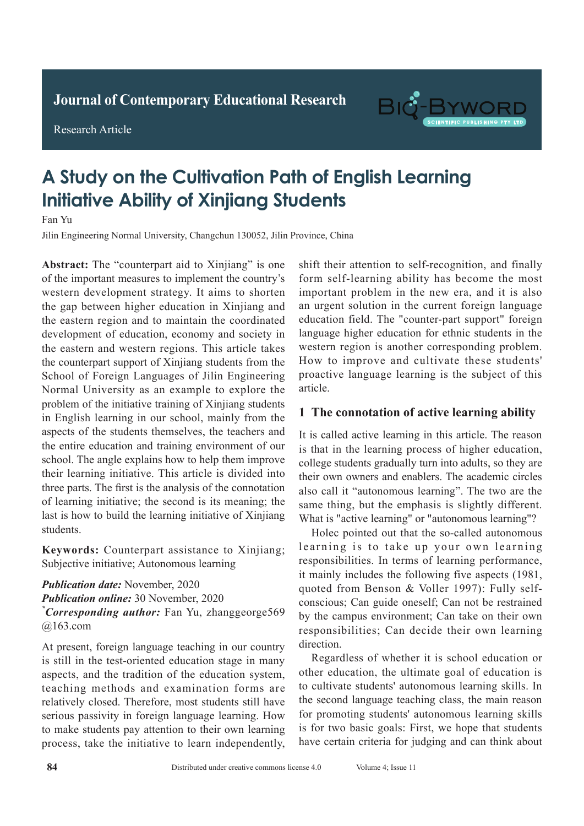**Journal of Clinical and Nursing Research Journal of Contemporary Educational Research**

**Research Article** 

Research Article



# **A Study on the Cultivation Path of English Learning Initiative Ability of Xinjiang Students Adult with Active Pulmonary Tuberculosis Pulmonary Tuberculosis**

Fan Yu

Jilin Engineering Normal University, Changchun 130052, Jilin Province, China

Abstract: The "counterpart aid to Xinjiang" is one of the important measures to implement the country's western development strategy. It aims to shorten the gap between higher education in Xinjiang and the eastern region and to maintain the coordinated development of education, economy and society in the eastern and western regions. This article takes the counterpart support of Xinjiang students from the School of Foreign Languages of Jilin Engineering Normal University as an example to explore the problem of the initiative training of Xinjiang students in English learning in our school, mainly from the aspects of the students themselves, the teachers and the entire education and training environment of our school. The angle explains how to help them improve their learning initiative. This article is divided into three parts. The first is the analysis of the connotation of learning initiative; the second is its meaning; the  $\frac{1}{2}$  is the  $\frac{1}{2}$  than the conventional than that is that of  $\frac{1}{2}$  of  $\frac{1}{2}$  of  $\frac{1}{2}$  of  $\frac{1}{2}$  of  $\frac{1}{2}$  of  $\frac{1}{2}$  of  $\frac{1}{2}$  or  $\frac{1}{2}$  or  $\frac{1}{2}$  or  $\frac{1}{2}$  or  $\frac{1}{2}$  or  $\frac{1}{2}$  $\frac{1}{2}$  chest  $\frac{1}{2}$  rate of active  $\frac{1}{2}$  rate of active  $\frac{1}{2}$  rate of active  $\frac{1}{2}$ last is how to build the learning initiative of Xinjiang students.

Keywords: Counterpart assistance to Xinjiang; The difference was statistically significant (*P*<sub>0.05</sub>, Subjective initiative; Autonomous learning that of conventional chest X-ray of 79.31%. *P*<0.05).

**Publication date:** November, 2020. *Publication online:* 30 November, 2020 *Publication online:* 30 November, 2020  $^{\circ}$ Convenanding quthon: Eon V<sub>u</sub>, abonggoorga<sup>560</sup>  $\frac{1}{2}$  active pulmonary tuberculosis in the pulmonary tuberculosis in  $\frac{1}{2}$  $\frac{1}{2}$  is of high diagnostic value. \*Corresponding author: Fan Yu, zhanggeorge569  $@163.com$ 

It present, foreign nanguage teating in our country is still in the test-oriented education stage in many spiral in the test critical calculation stage in many aspects, and the tradition of the education system, aspects, and the tradition of the calculation system, teaching methods and examination forms are relatively closed. Therefore, most students still have serious passivity in foreign language learning. How to make students pay attention to their own learning to make students pay attention to their own learning process, take the initiative to learn independently, At present, foreign language teaching in our country shift their attention to self-recognition, and finally form self-learning ability has become the most important problem in the new era, and it is also an urgent solution in the current foreign language education field. The "counter-part support" foreign language higher education for ethnic students in the western region is another corresponding problem. How to improve and cultivate these students' proactive language learning is the subject of this article. article.

#### **1 The connotation of active learning ability**  $\frac{1}{2}$  and components by nearly feature  $\frac{1}{2}$  which  $\frac{1}{2}$

It is called active learning in this article. The reason is that in the learning in this article. The reason is that in the learning process of higher education, is that in the fearning process or inglier education, college students gradually turn into adults, so they are their own owners and enablers. The academic circles complete a long takes a long time  $\frac{1}{2}$  and  $\frac{1}{2}$  is not the interest of  $\frac{1}{2}$ also call it "autonomous learning". The two are the same thing, but the emphasis is slightly different. What is "active learning" or "autonomous learning"?

Holec pointed out that the so-called autonomous learning is to take up your own learning responsibilities. In terms of learning performance, it mainly includes the following five aspects (1981, quoted from Benson & Voller 1997): Fully selfconscious; Can guide oneself; Can not be restrained responsibilities; Can decide their own learning by the campus environment; Can take on their own direction.

**1.1 General information** Regardless of whether it is school education or **1 Information and methods** other education, the ultimate goal of education is  $\mathbf{I} = \mathbf{I} \times \mathbf{B}$ to cultivate students' autonomous learning skills. In the second language teaching class, the main reason for promoting students' autonomous learning skills is for two basic goals: First, we hope that students have certain criteria for judging and can think about conventional chest X-ray scan and spiral CT chest X-ray scan and spiral CT chest X-ray scan and spiral CT ches<br>CT chest X-ray scan and spiral CT chest X-ray scan and spiral CT chest X-ray scan and spiral CT chest X-ray sc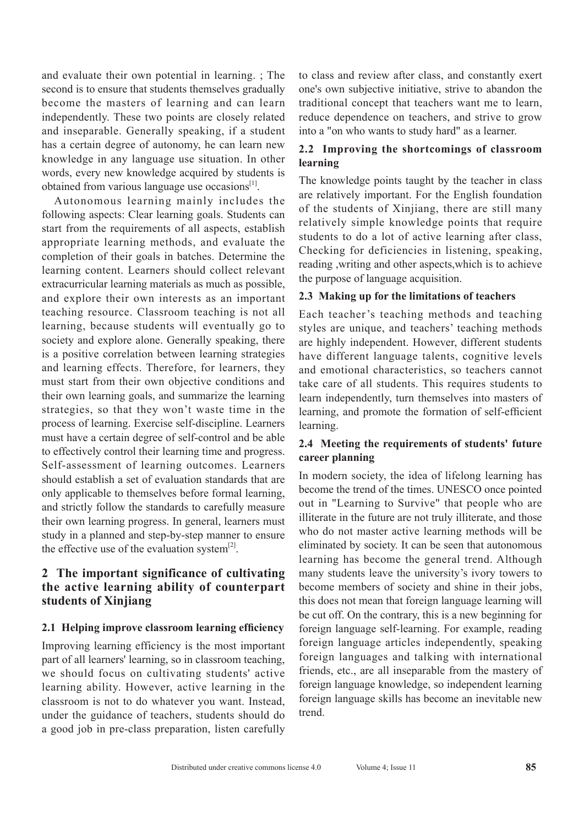and evaluate their own potential in learning. ; The second is to ensure that students themselves gradually become the masters of learning and can learn independently. These two points are closely related and inseparable. Generally speaking, if a student has a certain degree of autonomy, he can learn new knowledge in any language use situation. In other words, every new knowledge acquired by students is obtained from various language use occasions<sup>[1]</sup>.

Autonomous learning mainly includes the following aspects: Clear learning goals. Students can start from the requirements of all aspects, establish appropriate learning methods, and evaluate the completion of their goals in batches. Determine the learning content. Learners should collect relevant extracurricular learning materials as much as possible, and explore their own interests as an important teaching resource. Classroom teaching is not all learning, because students will eventually go to society and explore alone. Generally speaking, there is a positive correlation between learning strategies and learning effects. Therefore, for learners, they must start from their own objective conditions and their own learning goals, and summarize the learning strategies, so that they won't waste time in the process of learning. Exercise self-discipline. Learners must have a certain degree of self-control and be able to effectively control their learning time and progress. Self-assessment of learning outcomes. Learners should establish a set of evaluation standards that are only applicable to themselves before formal learning, and strictly follow the standards to carefully measure their own learning progress. In general, learners must study in a planned and step-by-step manner to ensure the effective use of the evaluation system $^{[2]}$ .

## **2 The important significance of cultivating the active learning ability of counterpart students of Xinjiang**

#### **2.1 Helping improve classroom learning efficiency**

Improving learning efficiency is the most important part of all learners' learning, so in classroom teaching, we should focus on cultivating students' active learning ability. However, active learning in the classroom is not to do whatever you want. Instead, under the guidance of teachers, students should do a good job in pre-class preparation, listen carefully to class and review after class, and constantly exert one's own subjective initiative, strive to abandon the traditional concept that teachers want me to learn, reduce dependence on teachers, and strive to grow into a "on who wants to study hard" as a learner.

#### **2.2 Improving the shortcomings of classroom learning**

The knowledge points taught by the teacher in class are relatively important. For the English foundation of the students of Xinjiang, there are still many relatively simple knowledge points that require students to do a lot of active learning after class, Checking for deficiencies in listening, speaking, reading ,writing and other aspects,which is to achieve the purpose of language acquisition.

#### **2.3 Making up for the limitations of teachers**

Each teacher's teaching methods and teaching styles are unique, and teachers' teaching methods are highly independent. However, different students have different language talents, cognitive levels and emotional characteristics, so teachers cannot take care of all students. This requires students to learn independently, turn themselves into masters of learning, and promote the formation of self-efficient learning.

#### **2.4 Meeting the requirements of students' future career planning**

In modern society, the idea of lifelong learning has become the trend of the times. UNESCO once pointed out in "Learning to Survive" that people who are illiterate in the future are not truly illiterate, and those who do not master active learning methods will be eliminated by society. It can be seen that autonomous learning has become the general trend. Although many students leave the university's ivory towers to become members of society and shine in their jobs, this does not mean that foreign language learning will be cut off. On the contrary, this is a new beginning for foreign language self-learning. For example, reading foreign language articles independently, speaking foreign languages and talking with international friends, etc., are all inseparable from the mastery of foreign language knowledge, so independent learning foreign language skills has become an inevitable new trend.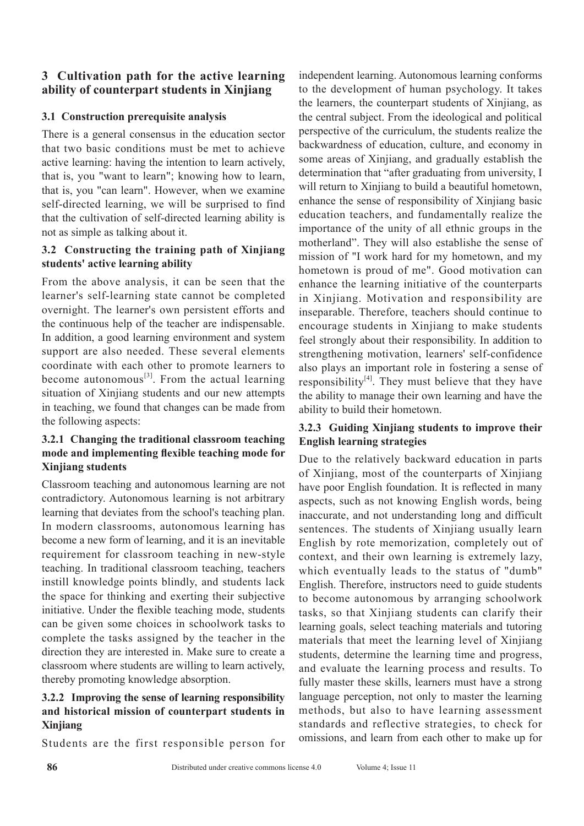## **3 Cultivation path for the active learning ability of counterpart students in Xinjiang**

## **3.1 Construction prerequisite analysis**

There is a general consensus in the education sector that two basic conditions must be met to achieve active learning: having the intention to learn actively, that is, you "want to learn"; knowing how to learn, that is, you "can learn". However, when we examine self-directed learning, we will be surprised to find that the cultivation of self-directed learning ability is not as simple as talking about it.

## **3.2 Constructing the training path of Xinjiang students' active learning ability**

From the above analysis, it can be seen that the learner's self-learning state cannot be completed overnight. The learner's own persistent efforts and the continuous help of the teacher are indispensable. In addition, a good learning environment and system support are also needed. These several elements coordinate with each other to promote learners to become autonomous<sup>[3]</sup>. From the actual learning situation of Xinjiang students and our new attempts in teaching, we found that changes can be made from the following aspects:

## **3.2.1 Changing the traditional classroom teaching mode and implementing flexible teaching mode for Xinjiang students**

Classroom teaching and autonomous learning are not contradictory. Autonomous learning is not arbitrary learning that deviates from the school's teaching plan. In modern classrooms, autonomous learning has become a new form of learning, and it is an inevitable requirement for classroom teaching in new-style teaching. In traditional classroom teaching, teachers instill knowledge points blindly, and students lack the space for thinking and exerting their subjective initiative. Under the flexible teaching mode, students can be given some choices in schoolwork tasks to complete the tasks assigned by the teacher in the direction they are interested in. Make sure to create a classroom where students are willing to learn actively, thereby promoting knowledge absorption.

#### **3.2.2 Improving the sense of learning responsibility and historical mission of counterpart students in Xinjiang**

Students are the first responsible person for

independent learning. Autonomous learning conforms to the development of human psychology. It takes the learners, the counterpart students of Xinjiang, as the central subject. From the ideological and political perspective of the curriculum, the students realize the backwardness of education, culture, and economy in some areas of Xinjiang, and gradually establish the determination that "after graduating from university, I will return to Xinjiang to build a beautiful hometown, enhance the sense of responsibility of Xinjiang basic education teachers, and fundamentally realize the importance of the unity of all ethnic groups in the motherland". They will also establishe the sense of mission of "I work hard for my hometown, and my hometown is proud of me". Good motivation can enhance the learning initiative of the counterparts in Xinjiang. Motivation and responsibility are inseparable. Therefore, teachers should continue to encourage students in Xinjiang to make students feel strongly about their responsibility. In addition to strengthening motivation, learners' self-confidence also plays an important role in fostering a sense of responsibility $[4]$ . They must believe that they have the ability to manage their own learning and have the ability to build their hometown.

## **3.2.3 Guiding Xinjiang students to improve their English learning strategies**

Due to the relatively backward education in parts of Xinjiang, most of the counterparts of Xinjiang have poor English foundation. It is reflected in many aspects, such as not knowing English words, being inaccurate, and not understanding long and difficult sentences. The students of Xinjiang usually learn English by rote memorization, completely out of context, and their own learning is extremely lazy, which eventually leads to the status of "dumb" English. Therefore, instructors need to guide students to become autonomous by arranging schoolwork tasks, so that Xinjiang students can clarify their learning goals, select teaching materials and tutoring materials that meet the learning level of Xinjiang students, determine the learning time and progress, and evaluate the learning process and results. To fully master these skills, learners must have a strong language perception, not only to master the learning methods, but also to have learning assessment standards and reflective strategies, to check for omissions, and learn from each other to make up for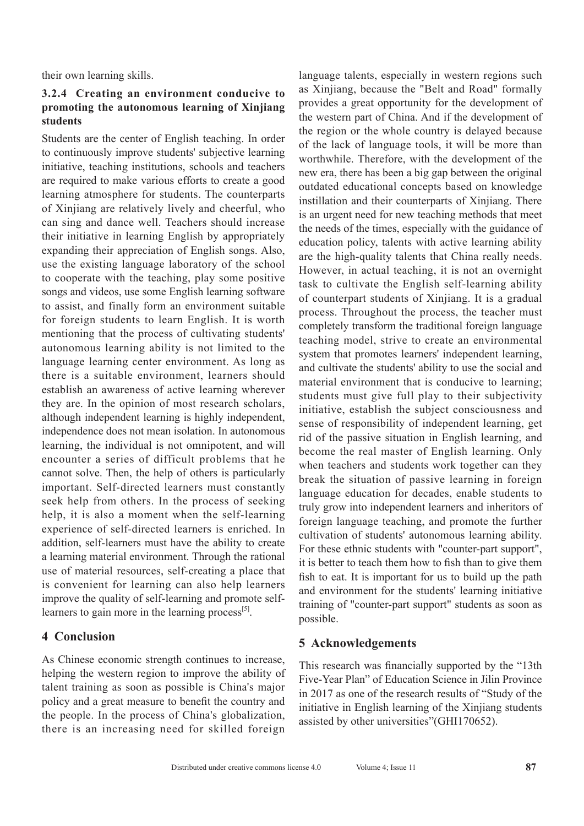their own learning skills.

#### **3.2.4 Creating an environment conducive to promoting the autonomous learning of Xinjiang students**

Students are the center of English teaching. In order to continuously improve students' subjective learning initiative, teaching institutions, schools and teachers are required to make various efforts to create a good learning atmosphere for students. The counterparts of Xinjiang are relatively lively and cheerful, who can sing and dance well. Teachers should increase their initiative in learning English by appropriately expanding their appreciation of English songs. Also, use the existing language laboratory of the school to cooperate with the teaching, play some positive songs and videos, use some English learning software to assist, and finally form an environment suitable for foreign students to learn English. It is worth mentioning that the process of cultivating students' autonomous learning ability is not limited to the language learning center environment. As long as there is a suitable environment, learners should establish an awareness of active learning wherever they are. In the opinion of most research scholars, although independent learning is highly independent, independence does not mean isolation. In autonomous learning, the individual is not omnipotent, and will encounter a series of difficult problems that he cannot solve. Then, the help of others is particularly important. Self-directed learners must constantly seek help from others. In the process of seeking help, it is also a moment when the self-learning experience of self-directed learners is enriched. In addition, self-learners must have the ability to create a learning material environment. Through the rational use of material resources, self-creating a place that is convenient for learning can also help learners improve the quality of self-learning and promote selflearners to gain more in the learning process $^{[5]}$ .

## **4 Conclusion**

As Chinese economic strength continues to increase, helping the western region to improve the ability of talent training as soon as possible is China's major policy and a great measure to benefit the country and the people. In the process of China's globalization, there is an increasing need for skilled foreign language talents, especially in western regions such as Xinjiang, because the "Belt and Road" formally provides a great opportunity for the development of the western part of China. And if the development of the region or the whole country is delayed because of the lack of language tools, it will be more than worthwhile. Therefore, with the development of the new era, there has been a big gap between the original outdated educational concepts based on knowledge instillation and their counterparts of Xinjiang. There is an urgent need for new teaching methods that meet the needs of the times, especially with the guidance of education policy, talents with active learning ability are the high-quality talents that China really needs. However, in actual teaching, it is not an overnight task to cultivate the English self-learning ability of counterpart students of Xinjiang. It is a gradual process. Throughout the process, the teacher must completely transform the traditional foreign language teaching model, strive to create an environmental system that promotes learners' independent learning, and cultivate the students' ability to use the social and material environment that is conducive to learning; students must give full play to their subjectivity initiative, establish the subject consciousness and sense of responsibility of independent learning, get rid of the passive situation in English learning, and become the real master of English learning. Only when teachers and students work together can they break the situation of passive learning in foreign language education for decades, enable students to truly grow into independent learners and inheritors of foreign language teaching, and promote the further cultivation of students' autonomous learning ability. For these ethnic students with "counter-part support", it is better to teach them how to fish than to give them fish to eat. It is important for us to build up the path and environment for the students' learning initiative training of "counter-part support" students as soon as possible.

# **5 Acknowledgements**

This research was financially supported by the "13th Five-Year Plan" of Education Science in Jilin Province in 2017 as one of the research results of "Study of the initiative in English learning of the Xinjiang students assisted by other universities"(GHI170652).